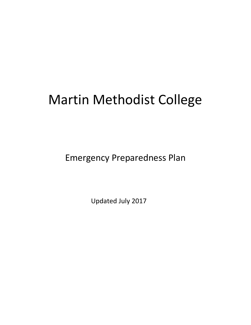# Martin Methodist College

Emergency Preparedness Plan

Updated July 2017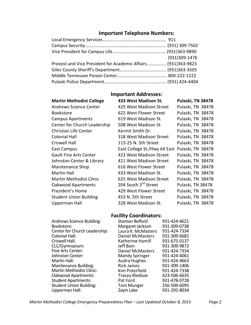## **Important Telephone Numbers:**

|                                                               | (931)309-1476 |
|---------------------------------------------------------------|---------------|
| Provost and Vice President for Academic Affairs (931)363-9823 |               |
|                                                               |               |
|                                                               |               |
|                                                               |               |

## **Important Addresses:**

| <b>Martin Methodist College</b> | 433 West Madison St.             | Pulaski, TN 38478 |  |
|---------------------------------|----------------------------------|-------------------|--|
| <b>Andrews Science Center</b>   | 425 West Madison Street          | Pulaski, TN 38478 |  |
| <b>Bookstore</b>                | 622 West Flower Street           | Pulaski, TN 38478 |  |
| <b>Campus Apartments</b>        | 619 West Madison St.             | Pulaski, TN 38478 |  |
| Center for Church Leadership    | 508 West Madison St.             | Pulaski, TN 38478 |  |
| <b>Christian Life Center</b>    | Kermit Smith Dr.                 | Pulaski, TN 38478 |  |
| <b>Colonial Hall</b>            | 318 West Madison Street          | Pulaski, TN 38478 |  |
| <b>Criswell Hall</b>            | 113-25 N. 5th Street             | Pulaski, TN 38478 |  |
| East Campus                     | East College St./Hwy 64 East     | Pulaski, TN 38478 |  |
| <b>Gault Fine Arts Center</b>   | 423 West Madison Street          | Pulaski, TN 38478 |  |
| Johnston Center & Library       | 411 West Madison Street          | Pulaski, TN 38478 |  |
| Maintenance Shop                | 616 West Flower Street           | Pulaski, TN 38478 |  |
| <b>Martin Hall</b>              | 433 West Madison St.             | Pulaski, TN 38478 |  |
| <b>Martin Methodist Clinic</b>  | 625 West Madison Street          | Pulaski, TN 38478 |  |
| <b>Oakwood Apartments</b>       | 204 South 3 <sup>rd</sup> Street | Pulaski, TN 38478 |  |
| President's Home                | 429 West Flower Street           | Pulaski, TN 38478 |  |
| <b>Student Union Building</b>   | 453 N. 5th Street                | Pulaski, TN 38478 |  |
| Upperman Hall                   | 328 West Madison St.             | Pulaski, TN 38478 |  |

## **Facility Coordinators:**

| Andrews Science Building:       | <b>Stanton Belford</b>  | 931-424-4621 |
|---------------------------------|-------------------------|--------------|
| Bookstore:                      | Margaret Jackson        | 931-309-0738 |
| Center for Church Leadership:   | Laura K. McMasters      | 931-424-7334 |
| <b>Colonial Hall:</b>           | <b>Daniel McMasters</b> | 931-309-6681 |
| Criswell Hall:                  | Katherine Hamill        | 931-675-0137 |
| CLC/Gymnasium:                  | Jeff Bain               | 931-309-9872 |
| Fine Arts Center:               | <b>Daniel McMasters</b> | 931-424-7334 |
| Johnston Center:                | <b>Mandy Springer</b>   | 931-424-4061 |
| <b>Martin Hall:</b>             | <b>Audra Hughes</b>     | 931-424-4663 |
| Maintenance Building:           | <b>Rick James</b>       | 931-309-1406 |
| <b>Martin Methodist Clinic:</b> | Kim Poterfield          | 931-424-7338 |
| Oakwood Apartments:             | <b>Tracey Bledsoe</b>   | 423-506-6635 |
| <b>Student Apartments:</b>      | Pat Ford                | 931-478-0728 |
| <b>Student Union Building:</b>  | <b>Tom Munger</b>       | 256-509-6095 |
| Upperman Hall:                  | Zayin Lake              | 931-292-8034 |

*Martin Methodist College Emergency Preparedness Plan – Last Updated October 8, 2015 Page 2*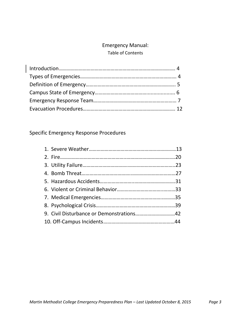## Emergency Manual:

## Table of Contents

# Specific Emergency Response Procedures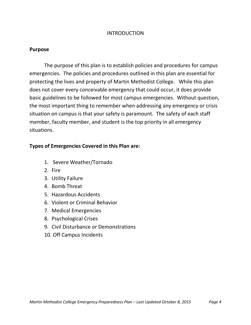#### INTRODUCTION

#### **Purpose**

The purpose of this plan is to establish policies and procedures for campus emergencies. The policies and procedures outlined in this plan are essential for protecting the lives and property of Martin Methodist College. While this plan does not cover every conceivable emergency that could occur, it does provide basic guidelines to be followed for most campus emergencies. Without question, the most important thing to remember when addressing any emergency or crisis situation on campus is that your safety is paramount. The safety of each staff member, faculty member, and student is the top priority in all emergency situations.

#### **Types of Emergencies Covered in this Plan are:**

- 1. Severe Weather/Tornado
- 2. Fire
- 3. Utility Failure
- 4. Bomb Threat
- 5. Hazardous Accidents
- 6. Violent or Criminal Behavior
- 7. Medical Emergencies
- 8. Psychological Crises
- 9. Civil Disturbance or Demonstrations
- 10. Off Campus Incidents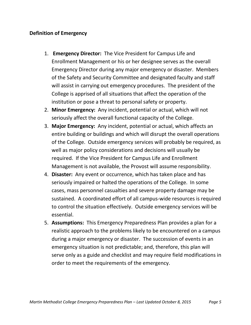## **Definition of Emergency**

- 1. **Emergency Director:** The Vice President for Campus Life and Enrollment Management or his or her designee serves as the overall Emergency Director during any major emergency or disaster. Members of the Safety and Security Committee and designated faculty and staff will assist in carrying out emergency procedures. The president of the College is apprised of all situations that affect the operation of the institution or pose a threat to personal safety or property.
- 2. **Minor Emergency:** Any incident, potential or actual, which will not seriously affect the overall functional capacity of the College.
- 3. **Major Emergency:** Any incident, potential or actual, which affects an entire building or buildings and which will disrupt the overall operations of the College. Outside emergency services will probably be required, as well as major policy considerations and decisions will usually be required. If the Vice President for Campus Life and Enrollment Management is not available, the Provost will assume responsibility.
- 4. **Disaster:** Any event or occurrence, which has taken place and has seriously impaired or halted the operations of the College. In some cases, mass personnel casualties and severe property damage may be sustained. A coordinated effort of all campus-wide resources is required to control the situation effectively. Outside emergency services will be essential.
- 5. **Assumptions:** This Emergency Preparedness Plan provides a plan for a realistic approach to the problems likely to be encountered on a campus during a major emergency or disaster. The succession of events in an emergency situation is not predictable; and, therefore, this plan will serve only as a guide and checklist and may require field modifications in order to meet the requirements of the emergency.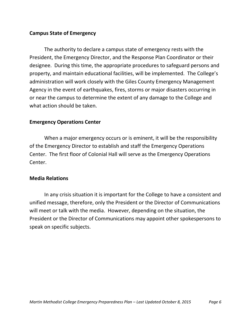## **Campus State of Emergency**

The authority to declare a campus state of emergency rests with the President, the Emergency Director, and the Response Plan Coordinator or their designee. During this time, the appropriate procedures to safeguard persons and property, and maintain educational facilities, will be implemented. The College's administration will work closely with the Giles County Emergency Management Agency in the event of earthquakes, fires, storms or major disasters occurring in or near the campus to determine the extent of any damage to the College and what action should be taken.

#### **Emergency Operations Center**

When a major emergency occurs or is eminent, it will be the responsibility of the Emergency Director to establish and staff the Emergency Operations Center. The first floor of Colonial Hall will serve as the Emergency Operations Center.

#### **Media Relations**

In any crisis situation it is important for the College to have a consistent and unified message, therefore, only the President or the Director of Communications will meet or talk with the media. However, depending on the situation, the President or the Director of Communications may appoint other spokespersons to speak on specific subjects.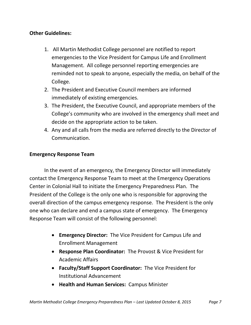## **Other Guidelines:**

- 1. All Martin Methodist College personnel are notified to report emergencies to the Vice President for Campus Life and Enrollment Management. All college personnel reporting emergencies are reminded not to speak to anyone, especially the media, on behalf of the College.
- 2. The President and Executive Council members are informed immediately of existing emergencies.
- 3. The President, the Executive Council, and appropriate members of the College's community who are involved in the emergency shall meet and decide on the appropriate action to be taken.
- 4. Any and all calls from the media are referred directly to the Director of Communication.

## **Emergency Response Team**

In the event of an emergency, the Emergency Director will immediately contact the Emergency Response Team to meet at the Emergency Operations Center in Colonial Hall to initiate the Emergency Preparedness Plan. The President of the College is the only one who is responsible for approving the overall direction of the campus emergency response. The President is the only one who can declare and end a campus state of emergency. The Emergency Response Team will consist of the following personnel:

- **Emergency Director:** The Vice President for Campus Life and Enrollment Management
- **Response Plan Coordinator:** The Provost & Vice President for Academic Affairs
- **Faculty/Staff Support Coordinator:** The Vice President for Institutional Advancement
- **Health and Human Services:** Campus Minister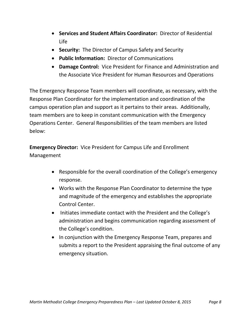- **Services and Student Affairs Coordinator:** Director of Residential Life
- **Security:** The Director of Campus Safety and Security
- **Public Information:** Director of Communications
- **Damage Control:** Vice President for Finance and Administration and the Associate Vice President for Human Resources and Operations

The Emergency Response Team members will coordinate, as necessary, with the Response Plan Coordinator for the implementation and coordination of the campus operation plan and support as it pertains to their areas. Additionally, team members are to keep in constant communication with the Emergency Operations Center. General Responsibilities of the team members are listed below:

**Emergency Director:** Vice President for Campus Life and Enrollment Management

- Responsible for the overall coordination of the College's emergency response.
- Works with the Response Plan Coordinator to determine the type and magnitude of the emergency and establishes the appropriate Control Center.
- Initiates immediate contact with the President and the College's administration and begins communication regarding assessment of the College's condition.
- In conjunction with the Emergency Response Team, prepares and submits a report to the President appraising the final outcome of any emergency situation.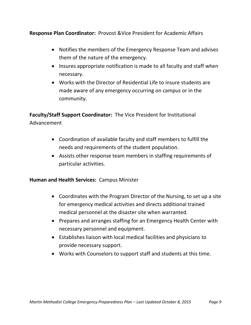**Response Plan Coordinator:** Provost &Vice President for Academic Affairs

- Notifies the members of the Emergency Response Team and advises them of the nature of the emergency.
- Insures appropriate notification is made to all faculty and staff when necessary.
- Works with the Director of Residential Life to insure students are made aware of any emergency occurring on campus or in the community.

**Faculty/Staff Support Coordinator:** The Vice President for Institutional Advancement

- Coordination of available faculty and staff members to fulfill the needs and requirements of the student population.
- Assists other response team members in staffing requirements of particular activities.

## **Human and Health Services:** Campus Minister

- Coordinates with the Program Director of the Nursing, to set up a site for emergency medical activities and directs additional trained medical personnel at the disaster site when warranted.
- Prepares and arranges staffing for an Emergency Health Center with necessary personnel and equipment.
- Establishes liaison with local medical facilities and physicians to provide necessary support.
- Works with Counselors to support staff and students at this time.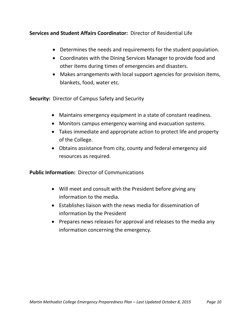**Services and Student Affairs Coordinator:** Director of Residential Life

- Determines the needs and requirements for the student population.
- Coordinates with the Dining Services Manager to provide food and other items during times of emergencies and disasters.
- Makes arrangements with local support agencies for provision items, blankets, food, water etc.

**Security:** Director of Campus Safety and Security

- Maintains emergency equipment in a state of constant readiness.
- Monitors campus emergency warning and evacuation systems.
- Takes immediate and appropriate action to protect life and property of the College.
- Obtains assistance from city, county and federal emergency aid resources as required.

**Public Information:** Director of Communications

- Will meet and consult with the President before giving any information to the media.
- Establishes liaison with the news media for dissemination of information by the President
- Prepares news releases for approval and releases to the media any information concerning the emergency.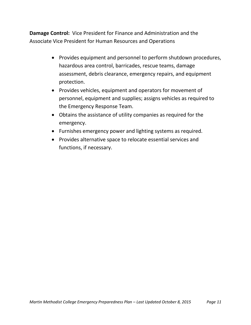**Damage Control:** Vice President for Finance and Administration and the Associate Vice President for Human Resources and Operations

- Provides equipment and personnel to perform shutdown procedures, hazardous area control, barricades, rescue teams, damage assessment, debris clearance, emergency repairs, and equipment protection.
- Provides vehicles, equipment and operators for movement of personnel, equipment and supplies; assigns vehicles as required to the Emergency Response Team.
- Obtains the assistance of utility companies as required for the emergency.
- Furnishes emergency power and lighting systems as required.
- Provides alternative space to relocate essential services and functions, if necessary.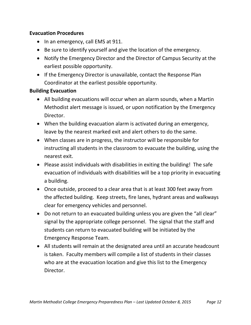## **Evacuation Procedures**

- In an emergency, call EMS at 911.
- Be sure to identify yourself and give the location of the emergency.
- Notify the Emergency Director and the Director of Campus Security at the earliest possible opportunity.
- If the Emergency Director is unavailable, contact the Response Plan Coordinator at the earliest possible opportunity.

## **Building Evacuation**

- All building evacuations will occur when an alarm sounds, when a Martin Methodist alert message is issued, or upon notification by the Emergency Director.
- When the building evacuation alarm is activated during an emergency, leave by the nearest marked exit and alert others to do the same.
- When classes are in progress, the instructor will be responsible for instructing all students in the classroom to evacuate the building, using the nearest exit.
- Please assist individuals with disabilities in exiting the building! The safe evacuation of individuals with disabilities will be a top priority in evacuating a building.
- Once outside, proceed to a clear area that is at least 300 feet away from the affected building. Keep streets, fire lanes, hydrant areas and walkways clear for emergency vehicles and personnel.
- Do not return to an evacuated building unless you are given the "all clear" signal by the appropriate college personnel. The signal that the staff and students can return to evacuated building will be initiated by the Emergency Response Team.
- All students will remain at the designated area until an accurate headcount is taken. Faculty members will compile a list of students in their classes who are at the evacuation location and give this list to the Emergency Director.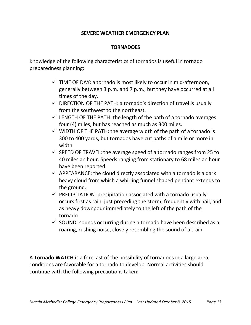## **SEVERE WEATHER EMERGENCY PLAN**

## **TORNADOES**

Knowledge of the following characteristics of tornados is useful in tornado preparedness planning:

- $\checkmark$  TIME OF DAY: a tornado is most likely to occur in mid-afternoon, generally between 3 p.m. and 7 p.m., but they have occurred at all times of the day.
- $\checkmark$  DIRECTION OF THE PATH: a tornado's direction of travel is usually from the southwest to the northeast.
- $\checkmark$  LENGTH OF THE PATH: the length of the path of a tornado averages four (4) miles, but has reached as much as 300 miles.
- $\checkmark$  WIDTH OF THE PATH: the average width of the path of a tornado is 300 to 400 yards, but tornados have cut paths of a mile or more in width.
- $\checkmark$  SPEED OF TRAVEL: the average speed of a tornado ranges from 25 to 40 miles an hour. Speeds ranging from stationary to 68 miles an hour have been reported.
- $\checkmark$  APPEARANCE: the cloud directly associated with a tornado is a dark heavy cloud from which a whirling funnel shaped pendant extends to the ground.
- $\checkmark$  PRECIPITATION: precipitation associated with a tornado usually occurs first as rain, just preceding the storm, frequently with hail, and as heavy downpour immediately to the left of the path of the tornado.
- $\checkmark$  SOUND: sounds occurring during a tornado have been described as a roaring, rushing noise, closely resembling the sound of a train.

A **Tornado WATCH** is a forecast of the possibility of tornadoes in a large area; conditions are favorable for a tornado to develop. Normal activities should continue with the following precautions taken: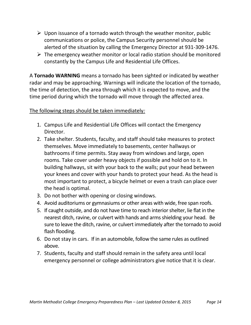- $\triangleright$  Upon issuance of a tornado watch through the weather monitor, public communications or police, the Campus Security personnel should be alerted of the situation by calling the Emergency Director at 931-309-1476.
- $\triangleright$  The emergency weather monitor or local radio station should be monitored constantly by the Campus Life and Residential Life Offices.

A **Tornado WARNING** means a tornado has been sighted or indicated by weather radar and may be approaching. Warnings will indicate the location of the tornado, the time of detection, the area through which it is expected to move, and the time period during which the tornado will move through the affected area.

## The following steps should be taken immediately*:*

- 1. Campus Life and Residential Life Offices will contact the Emergency Director.
- 2. Take shelter. Students, faculty, and staff should take measures to protect themselves. Move immediately to basements, center hallways or bathrooms if time permits. Stay away from windows and large, open rooms. Take cover under heavy objects if possible and hold on to it. In building hallways, sit with your back to the walls; put your head between your knees and cover with your hands to protect your head. As the head is most important to protect, a bicycle helmet or even a trash can place over the head is optimal.
- 3. Do not bother with opening or closing windows.
- 4. Avoid auditoriums or gymnasiums or other areas with wide, free span roofs.
- 5. If caught outside, and do not have time to reach interior shelter, lie flat in the nearest ditch, ravine, or culvert with hands and arms shielding your head. Be sure to leave the ditch, ravine, or culvert immediately after the tornado to avoid flash flooding.
- 6. Do not stay in cars. If in an automobile, follow the same rules as outlined above.
- 7. Students, faculty and staff should remain in the safety area until local emergency personnel or college administrators give notice that it is clear.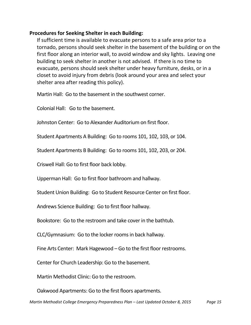#### **Procedures for Seeking Shelter in each Building:**

If sufficient time is available to evacuate persons to a safe area prior to a tornado, persons should seek shelter in the basement of the building or on the first floor along an interior wall, to avoid window and sky lights. Leaving one building to seek shelter in another is not advised. If there is no time to evacuate, persons should seek shelter under heavy furniture, desks, or in a closet to avoid injury from debris (look around your area and select your shelter area after reading this policy).

Martin Hall: Go to the basement in the southwest corner.

Colonial Hall: Go to the basement.

Johnston Center: Go to Alexander Auditorium on first floor.

Student Apartments A Building: Go to rooms 101, 102, 103, or 104.

Student Apartments B Building: Go to rooms 101, 102, 203, or 204.

Criswell Hall: Go to first floor back lobby.

Upperman Hall: Go to first floor bathroom and hallway.

Student Union Building: Go to Student Resource Center on first floor.

Andrews Science Building: Go to first floor hallway.

Bookstore: Go to the restroom and take cover in the bathtub.

CLC/Gymnasium: Go to the locker rooms in back hallway.

Fine Arts Center: Mark Hagewood – Go to the first floor restrooms.

Center for Church Leadership: Go to the basement.

Martin Methodist Clinic: Go to the restroom.

Oakwood Apartments: Go to the first floors apartments.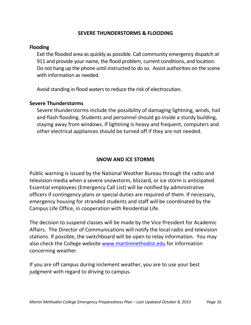#### **SEVERE THUNDERSTORMS & FLOODING**

#### **Flooding**

Exit the flooded area as quickly as possible. Call community emergency dispatch at 911 and provide your name, the flood problem, current conditions, and location. Do not hang up the phone until instructed to do so. Assist authorities on the scene with information as needed.

Avoid standing in flood waters to reduce the risk of electrocution.

#### **Severe Thunderstorms**

Severe thunderstorms include the possibility of damaging lightning, winds, hail and flash flooding. Students and personnel should go inside a sturdy building, staying away from windows. If lightning is heavy and frequent, computers and other electrical appliances should be turned off if they are not needed.

## **SNOW AND ICE STORMS**

Public warning is issued by the National Weather Bureau through the radio and television media when a severe snowstorm, blizzard, or ice storm is anticipated. Essential employees (Emergency Call List) will be notified by administrative officers if contingency plans or special duties are required of them. If necessary, emergency housing for stranded students and staff will be coordinated by the Campus Life Office, in cooperation with Residential Life.

The decision to suspend classes will be made by the Vice President for Academic Affairs. The Director of Communications will notify the local radio and television stations. If possible, the switchboard will be open to relay information. You may also check the College website [www.martinmethodist.edu](http://www.martinmethodist.edu/) for information concerning weather.

If you are off campus during inclement weather, you are to use your best judgment with regard to driving to campus.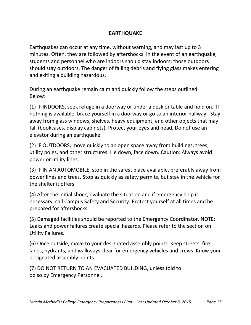## **EARTHQUAKE**

Earthquakes can occur at any time, without warning, and may last up to 3 minutes. Often, they are followed by aftershocks. In the event of an earthquake, students and personnel who are indoors should stay indoors; those outdoors should stay outdoors. The danger of falling debris and flying glass makes entering and exiting a building hazardous.

## During an earthquake remain calm and quickly follow the steps outlined Below:

(1) IF INDOORS, seek refuge in a doorway or under a desk or table and hold on. If nothing is available, brace yourself in a doorway or go to an interior hallway. Stay away from glass windows, shelves, heavy equipment, and other objects that may fall (bookcases, display cabinets). Protect your eyes and head. Do not use an elevator during an earthquake.

(2) IF OUTDOORS, move quickly to an open space away from buildings, trees, utility poles, and other structures. Lie down, face down. Caution: Always avoid power or utility lines.

(3) IF IN AN AUTOMOBILE, stop in the safest place available, preferably away from power lines and trees. Stop as quickly as safety permits, but stay in the vehicle for the shelter it offers.

(4) After the initial shock, evaluate the situation and if emergency help is necessary, call Campus Safety and Security. Protect yourself at all times and be prepared for aftershocks.

(5) Damaged facilities should be reported to the Emergency Coordinator. NOTE: Leaks and power failures create special hazards. Please refer to the section on Utility Failures.

(6) Once outside, move to your designated assembly points. Keep streets, fire lanes, hydrants, and walkways clear for emergency vehicles and crews. Know your designated assembly points.

(7) DO NOT RETURN TO AN EVACUATED BUILDING, unless told to do so by Emergency Personnel.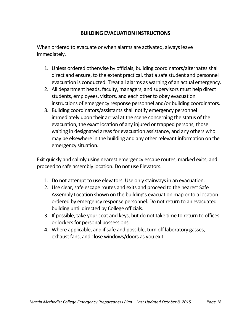#### **BUILDING EVACUATION INSTRUCTIONS**

When ordered to evacuate or when alarms are activated, always leave immediately.

- 1. Unless ordered otherwise by officials, building coordinators/alternates shall direct and ensure, to the extent practical, that a safe student and personnel evacuation is conducted. Treat all alarms as warning of an actual emergency.
- 2. All department heads, faculty, managers, and supervisors must help direct students, employees, visitors, and each other to obey evacuation instructions of emergency response personnel and/or building coordinators.
- 3. Building coordinators/assistants shall notify emergency personnel immediately upon their arrival at the scene concerning the status of the evacuation, the exact location of any injured or trapped persons, those waiting in designated areas for evacuation assistance, and any others who may be elsewhere in the building and any other relevant information on the emergency situation.

Exit quickly and calmly using nearest emergency escape routes, marked exits, and proceed to safe assembly location. Do not use Elevators.

- 1. Do not attempt to use elevators. Use only stairways in an evacuation.
- 2. Use clear, safe escape routes and exits and proceed to the nearest Safe Assembly Location shown on the building's evacuation map or to a location ordered by emergency response personnel. Do not return to an evacuated building until directed by College officials.
- 3. If possible, take your coat and keys, but do not take time to return to offices or lockers for personal possessions.
- 4. Where applicable, and if safe and possible, turn off laboratory gasses, exhaust fans, and close windows/doors as you exit.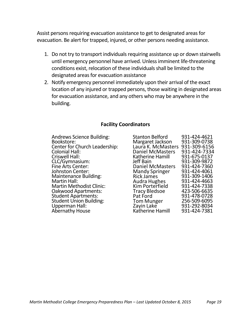Assist persons requiring evacuation assistance to get to designated areas for evacuation. Be alert for trapped, injured, or other persons needing assistance.

- 1. Do not try to transport individuals requiring assistance up or down stairwells until emergency personnel have arrived. Unless imminent life-threatening conditions exist, relocation of these individuals shall be limited to the designated areas for evacuation assistance
- 2. Notify emergency personnel immediately upon their arrival of the exact location of any injured or trapped persons, those waiting in designated areas for evacuation assistance, and any others who may be anywhere in the building.

#### **Facility Coordinators**

Andrews Science Building: Bookstore: Center for Church Leadership: Colonial Hall: Criswell Hall: CLC/Gymnasium: Fine Arts Center: Johnston Center: Maintenance Building: Martin Hall: Martin Methodist Clinic: Oakwood Apartments: Student Apartments: Student Union Building: Upperman Hall: Abernathy House

| Stanton Belford         | 931-424-4621 |
|-------------------------|--------------|
|                         |              |
| Margaret Jackson        | 931-309-0738 |
| Laura K. McMasters      | 931-309-6156 |
| <b>Daniel McMasters</b> | 931-424-7334 |
| Katherine Hamill        | 931-675-0137 |
| Jeff Bain               | 931-309-9872 |
| <b>Daniel McMasters</b> | 931-424-7360 |
| <b>Mandy Springer</b>   | 931-424-4061 |
| <b>Rick James</b>       | 931-309-1406 |
| Audra Hughes            | 931-424-4663 |
| <b>Kim Porterfield</b>  | 931-424-7338 |
| Tracy Bledsoe           | 423-506-6635 |
| Pat Ford                | 931-478-0728 |
| Tom Munger              | 256-509-6095 |
| Zayin Lake              | 931-292-8034 |
| Katherine Hamill        | 931-424-7381 |
|                         |              |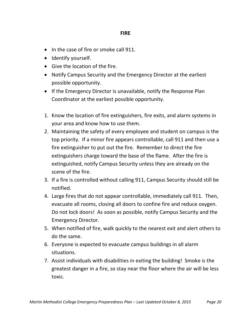#### **FIRE**

- In the case of fire or smoke call 911.
- Identify yourself.
- Give the location of the fire.
- Notify Campus Security and the Emergency Director at the earliest possible opportunity.
- If the Emergency Director is unavailable, notify the Response Plan Coordinator at the earliest possible opportunity.
- 1. Know the location of fire extinguishers, fire exits, and alarm systems in your area and know how to use them.
- 2. Maintaining the safety of every employee and student on campus is the top priority. If a minor fire appears controllable, call 911 and then use a fire extinguisher to put out the fire. Remember to direct the fire extinguishers charge toward the base of the flame. After the fire is extinguished, notify Campus Security unless they are already on the scene of the fire.
- 3. If a fire is controlled without calling 911, Campus Security should still be notified.
- 4. Large fires that do not appear controllable, immediately call 911. Then, evacuate all rooms, closing all doors to confine fire and reduce oxygen. Do not lock doors! As soon as possible, notify Campus Security and the Emergency Director.
- 5. When notified of fire, walk quickly to the nearest exit and alert others to do the same.
- 6. Everyone is expected to evacuate campus buildings in all alarm situations.
- 7. Assist individuals with disabilities in exiting the building! Smoke is the greatest danger in a fire, so stay near the floor where the air will be less toxic.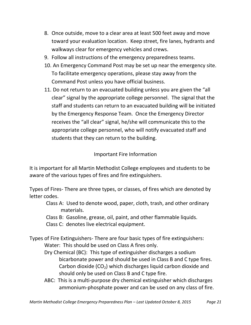- 8. Once outside, move to a clear area at least 500 feet away and move toward your evaluation location. Keep street, fire lanes, hydrants and walkways clear for emergency vehicles and crews.
- 9. Follow all instructions of the emergency preparedness teams.
- 10. An Emergency Command Post may be set up near the emergency site. To facilitate emergency operations, please stay away from the Command Post unless you have official business.
- 11. Do not return to an evacuated building unless you are given the "all clear" signal by the appropriate college personnel. The signal that the staff and students can return to an evacuated building will be initiated by the Emergency Response Team. Once the Emergency Director receives the "all clear" signal, he/she will communicate this to the appropriate college personnel, who will notify evacuated staff and students that they can return to the building.

Important Fire Information

It is important for all Martin Methodist College employees and students to be aware of the various types of fires and fire extinguishers.

Types of Fires- There are three types, or classes, of fires which are denoted by letter codes.

Class A: Used to denote wood, paper, cloth, trash, and other ordinary materials.

- Class B: Gasoline, grease, oil, paint, and other flammable liquids.
- Class C: denotes live electrical equipment.

Types of Fire Extinguishers- There are four basic types of fire extinguishers: Water: This should be used on Class A fires only.

- Dry Chemical (BC): This type of extinguisher discharges a sodium bicarbonate power and should be used in Class B and C type fires. Carbon dioxide  $(CO<sub>2</sub>)$  which discharges liquid carbon dioxide and should only be used on Class B and C type fire.
- ABC: This is a multi-purpose dry chemical extinguisher which discharges ammonium-phosphate power and can be used on any class of fire.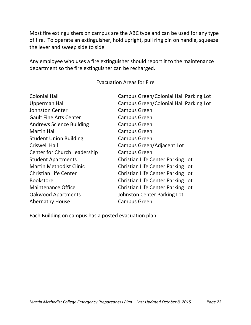Most fire extinguishers on campus are the ABC type and can be used for any type of fire. To operate an extinguisher, hold upright, pull ring pin on handle, squeeze the lever and sweep side to side.

Any employee who uses a fire extinguisher should report it to the maintenance department so the fire extinguisher can be recharged.

#### Evacuation Areas for Fire

| <b>Colonial Hall</b>            | Campus Green/Colonial Hall Parking Lot |
|---------------------------------|----------------------------------------|
| <b>Upperman Hall</b>            | Campus Green/Colonial Hall Parking Lot |
| <b>Johnston Center</b>          | <b>Campus Green</b>                    |
| <b>Gault Fine Arts Center</b>   | <b>Campus Green</b>                    |
| <b>Andrews Science Building</b> | <b>Campus Green</b>                    |
| <b>Martin Hall</b>              | <b>Campus Green</b>                    |
| <b>Student Union Building</b>   | <b>Campus Green</b>                    |
| <b>Criswell Hall</b>            | Campus Green/Adjacent Lot              |
| Center for Church Leadership    | <b>Campus Green</b>                    |
| <b>Student Apartments</b>       | Christian Life Center Parking Lot      |
| <b>Martin Methodist Clinic</b>  | Christian Life Center Parking Lot      |
| <b>Christian Life Center</b>    | Christian Life Center Parking Lot      |
| <b>Bookstore</b>                | Christian Life Center Parking Lot      |
| <b>Maintenance Office</b>       | Christian Life Center Parking Lot      |
| <b>Oakwood Apartments</b>       | Johnston Center Parking Lot            |
| <b>Abernathy House</b>          | <b>Campus Green</b>                    |
|                                 |                                        |

Each Building on campus has a posted evacuation plan.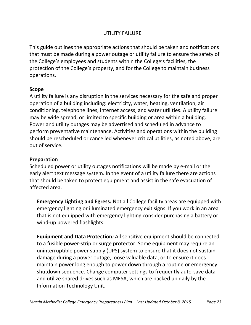## UTILITY FAILURE

This guide outlines the appropriate actions that should be taken and notifications that must be made during a power outage or utility failure to ensure the safety of the College's employees and students within the College's facilities, the protection of the College's property, and for the College to maintain business operations.

## **Scope**

A utility failure is any disruption in the services necessary for the safe and proper operation of a building including: electricity, water, heating, ventilation, air conditioning, telephone lines, internet access, and water utilities. A utility failure may be wide spread, or limited to specific building or area within a building. Power and utility outages may be advertised and scheduled in advance to perform preventative maintenance. Activities and operations within the building should be rescheduled or cancelled whenever critical utilities, as noted above, are out of service.

## **Preparation**

Scheduled power or utility outages notifications will be made by e-mail or the early alert text message system. In the event of a utility failure there are actions that should be taken to protect equipment and assist in the safe evacuation of affected area.

**Emergency Lighting and Egress***:* Not all College facility areas are equipped with emergency lighting or illuminated emergency exit signs. If you work in an area that is not equipped with emergency lighting consider purchasing a battery or wind-up powered flashlights.

**Equipment and Data Protection***:* All sensitive equipment should be connected to a fusible power-strip or surge protector. Some equipment may require an uninterruptible power supply (UPS) system to ensure that it does not sustain damage during a power outage, loose valuable data, or to ensure it does maintain power long enough to power down through a routine or emergency shutdown sequence. Change computer settings to frequently auto-save data and utilize shared drives such as MESA, which are backed up daily by the Information Technology Unit.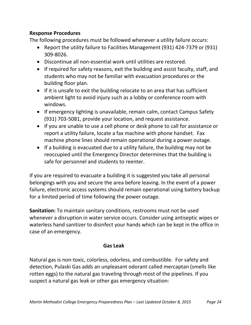## **Response Procedures**

The following procedures must be followed whenever a utility failure occurs:

- Report the utility failure to Facilities Management (931) 424-7379 or (931) 309-8026.
- Discontinue all non-essential work until utilities are restored.
- If required for safety reasons, exit the building and assist faculty, staff, and students who may not be familiar with evacuation procedures or the building floor plan.
- If it is unsafe to exit the building relocate to an area that has sufficient ambient light to avoid injury such as a lobby or conference room with windows.
- If emergency lighting is unavailable, remain calm, contact Campus Safety (931) 703-5081, provide your location, and request assistance.
- If you are unable to use a cell phone or desk phone to call for assistance or report a utility failure, locate a fax machine with phone handset. Fax machine phone lines should remain operational during a power outage.
- If a building is evacuated due to a utility failure, the building may not be reoccupied until the Emergency Director determines that the building is safe for personnel and students to reenter.

If you are required to evacuate a building it is suggested you take all personal belongings with you and secure the area before leaving. In the event of a power failure, electronic access systems should remain operational using battery backup for a limited period of time following the power outage.

**Sanitation:** To maintain sanitary conditions, restrooms must not be used whenever a disruption in water service occurs. Consider using antiseptic wipes or waterless hand sanitizer to disinfect your hands which can be kept in the office in case of an emergency.

## **Gas Leak**

Natural gas is non-toxic, colorless, odorless, and combustible. For safety and detection, Pulaski Gas adds an unpleasant odorant called mercaptan (smells like rotten eggs) to the natural gas traveling through most of the pipelines. If you suspect a natural gas leak or other gas emergency situation: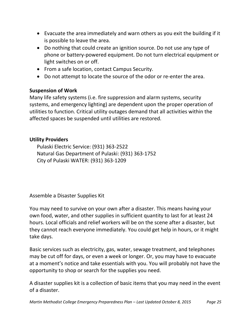- Evacuate the area immediately and warn others as you exit the building if it is possible to leave the area.
- Do nothing that could create an ignition source. Do not use any type of phone or battery-powered equipment. Do not turn electrical equipment or light switches on or off.
- From a safe location, contact Campus Security.
- Do not attempt to locate the source of the odor or re-enter the area.

#### **Suspension of Work**

Many life safety systems (i.e. fire suppression and alarm systems, security systems, and emergency lighting) are dependent upon the proper operation of utilities to function. Critical utility outages demand that all activities within the affected spaces be suspended until utilities are restored.

## **Utility Providers**

Pulaski Electric Service: (931) 363-2522 Natural Gas Department of Pulaski: (931) 363-1752 City of Pulaski WATER: (931) 363-1209

Assemble a Disaster Supplies Kit

You may need to survive on your own after a disaster. This means having your own food, water, and other supplies in sufficient quantity to last for at least 24 hours. Local officials and relief workers will be on the scene after a disaster, but they cannot reach everyone immediately. You could get help in hours, or it might take days.

Basic services such as electricity, gas, water, sewage treatment, and telephones may be cut off for days, or even a week or longer. Or, you may have to evacuate at a moment's notice and take essentials with you. You will probably not have the opportunity to shop or search for the supplies you need.

A disaster supplies kit is a collection of basic items that you may need in the event of a disaster.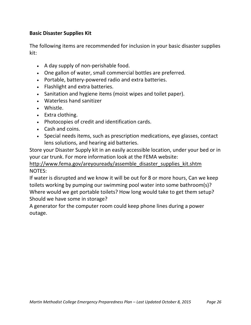## **Basic Disaster Supplies Kit**

The following items are recommended for inclusion in your basic disaster supplies kit:

- A day supply of non-perishable food.
- One gallon of water, small commercial bottles are preferred.
- Portable, battery-powered radio and extra batteries.
- Flashlight and extra batteries.
- Sanitation and hygiene items (moist wipes and toilet paper).
- Waterless hand sanitizer
- Whistle.
- Extra clothing.
- Photocopies of credit and identification cards.
- Cash and coins.
- Special needs items, such as prescription medications, eye glasses, contact lens solutions, and hearing aid batteries.

Store your Disaster Supply kit in an easily accessible location, under your bed or in your car trunk. For more information look at the FEMA website:

## [http://www.fema.gov/areyouready/assemble\\_disaster\\_supplies\\_kit.shtm](http://www.fema.gov/areyouready/assemble_disaster_supplies_kit.shtm) NOTES:

If water is disrupted and we know it will be out for 8 or more hours, Can we keep toilets working by pumping our swimming pool water into some bathroom(s)? Where would we get portable toilets? How long would take to get them setup? Should we have some in storage?

A generator for the computer room could keep phone lines during a power outage.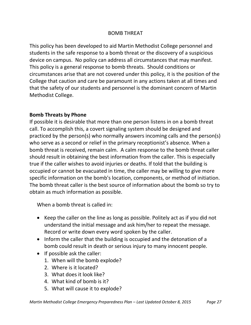#### BOMB THREAT

This policy has been developed to aid Martin Methodist College personnel and students in the safe response to a bomb threat or the discovery of a suspicious device on campus. No policy can address all circumstances that may manifest. This policy is a general response to bomb threats. Should conditions or circumstances arise that are not covered under this policy, it is the position of the College that caution and care be paramount in any actions taken at all times and that the safety of our students and personnel is the dominant concern of Martin Methodist College.

#### **Bomb Threats by Phone**

If possible it is desirable that more than one person listens in on a bomb threat call. To accomplish this, a covert signaling system should be designed and practiced by the person(s) who normally answers incoming calls and the person(s) who serve as a second or relief in the primary receptionist's absence. When a bomb threat is received, remain calm. A calm response to the bomb threat caller should result in obtaining the best information from the caller. This is especially true if the caller wishes to avoid injuries or deaths. If told that the building is occupied or cannot be evacuated in time, the caller may be willing to give more specific information on the bomb's location, components, or method of initiation. The bomb threat caller is the best source of information about the bomb so try to obtain as much information as possible.

When a bomb threat is called in:

- Keep the caller on the line as long as possible. Politely act as if you did not understand the initial message and ask him/her to repeat the message. Record or write down every word spoken by the caller.
- Inform the caller that the building is occupied and the detonation of a bomb could result in death or serious injury to many innocent people.
- $\bullet$  If possible ask the caller:
	- 1. When will the bomb explode?
	- 2. Where is it located?
	- 3. What does it look like?
	- 4. What kind of bomb is it?
	- 5. What will cause it to explode?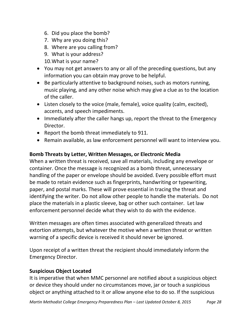- 6. Did you place the bomb?
- 7. Why are you doing this?
- 8. Where are you calling from?
- 9. What is your address?
- 10.What is your name?
- You may not get answers to any or all of the preceding questions, but any information you can obtain may prove to be helpful.
- Be particularly attentive to background noises, such as motors running, music playing, and any other noise which may give a clue as to the location of the caller.
- Listen closely to the voice (male, female), voice quality (calm, excited), accents, and speech impediments.
- Immediately after the caller hangs up, report the threat to the Emergency Director.
- Report the bomb threat immediately to 911.
- Remain available, as law enforcement personnel will want to interview you.

## **Bomb Threats by Letter, Written Messages, or Electronic Media**

When a written threat is received, save all materials, including any envelope or container. Once the message is recognized as a bomb threat, unnecessary handling of the paper or envelope should be avoided. Every possible effort must be made to retain evidence such as fingerprints, handwriting or typewriting, paper, and postal marks. These will prove essential in tracing the threat and identifying the writer. Do not allow other people to handle the materials. Do not place the materials in a plastic sleeve, bag or other such container. Let law enforcement personnel decide what they wish to do with the evidence.

Written messages are often times associated with generalized threats and extortion attempts, but whatever the motive when a written threat or written warning of a specific device is received it should never be ignored.

Upon receipt of a written threat the recipient should immediately inform the Emergency Director.

## **Suspicious Object Located**

It is imperative that when MMC personnel are notified about a suspicious object or device they should under no circumstances move, jar or touch a suspicious object or anything attached to it or allow anyone else to do so. If the suspicious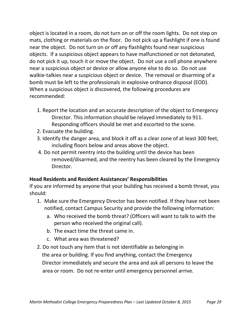object is located in a room, do not turn on or off the room lights. Do not step on mats, clothing or materials on the floor. Do not pick up a flashlight if one is found near the object. Do not turn on or off any flashlights found near suspicious objects. If a suspicious object appears to have malfunctioned or not detonated, do not pick it up, touch it or move the object. Do not use a cell phone anywhere near a suspicious object or device or allow anyone else to do so. Do not use walkie-talkies near a suspicious object or device. The removal or disarming of a bomb must be left to the professionals in explosive ordnance disposal (EOD). When a suspicious object is discovered, the following procedures are recommended:

- 1. Report the location and an accurate description of the object to Emergency Director. This information should be relayed immediately to 911. Responding officers should be met and escorted to the scene.
- 2. Evacuate the building.
- 3. Identify the danger area, and block it off as a clear zone of at least 300 feet, including floors below and areas above the object.
- 4. Do not permit reentry into the building until the device has been removed/disarmed, and the reentry has been cleared by the Emergency Director.

## **Head Residents and Resident Assistances' Responsibilities**

If you are informed by anyone that your building has received a bomb threat, you should:

- 1. Make sure the Emergency Director has been notified. If they have not been notified, contact Campus Security and provide the following information:
	- a. Who received the bomb threat? (Officers will want to talk to with the person who received the original call).
	- b. The exact time the threat came in.
	- c. What area was threatened?
- 2. Do not touch any item that is not identifiable as belonging in the area or building. If you find anything, contact the Emergency Director immediately and secure the area and ask all persons to leave the area or room. Do not re-enter until emergency personnel arrive.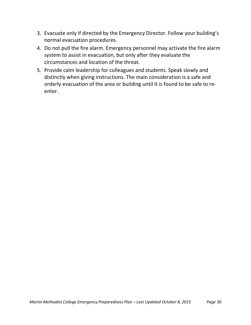- 3. Evacuate only if directed by the Emergency Director. Follow your building's normal evacuation procedures.
- 4. Do not pull the fire alarm. Emergency personnel may activate the fire alarm system to assist in evacuation, but only after they evaluate the circumstances and location of the threat.
- 5. Provide calm leadership for colleagues and students. Speak slowly and distinctly when giving instructions. The main consideration is a safe and orderly evacuation of the area or building until it is found to be safe to reenter.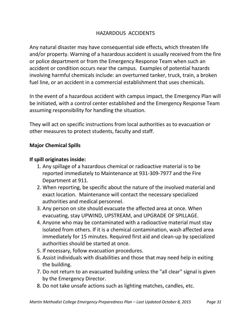## HAZARDOUS ACCIDENTS

Any natural disaster may have consequential side effects, which threaten life and/or property. Warning of a hazardous accident is usually received from the fire or police department or from the Emergency Response Team when such an accident or condition occurs near the campus. Examples of potential hazards involving harmful chemicals include: an overturned tanker, truck, train, a broken fuel line, or an accident in a commercial establishment that uses chemicals.

In the event of a hazardous accident with campus impact, the Emergency Plan will be initiated, with a control center established and the Emergency Response Team assuming responsibility for handling the situation.

They will act on specific instructions from local authorities as to evacuation or other measures to protect students, faculty and staff.

## **Major Chemical Spills**

## **If spill originates inside:**

- 1. Any spillage of a hazardous chemical or radioactive material is to be reported immediately to Maintenance at 931-309-7977 and the Fire Department at 911.
- 2. When reporting, be specific about the nature of the involved material and exact location. Maintenance will contact the necessary specialized authorities and medical personnel.
- 3. Any person on site should evacuate the affected area at once*.* When evacuating, stay UPWIND, UPSTREAM, and UPGRADE OF SPILLAGE.
- 4. Anyone who may be contaminated with a radioactive material must stay isolated from others. If it is a chemical contamination, wash affected area immediately for 15 minutes. Required first aid and clean-up by specialized authorities should be started at once.
- 5. If necessary, follow evacuation procedures.
- 6. Assist individuals with disabilities and those that may need help in exiting the building.
- 7. Do not return to an evacuated building unless the "all clear" signal is given by the Emergency Director.
- 8. Do not take unsafe actions such as lighting matches, candles, etc.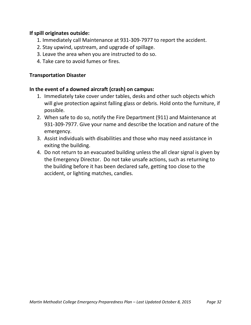## **If spill originates outside:**

- 1. Immediately call Maintenance at 931-309-7977 to report the accident.
- 2. Stay upwind, upstream, and upgrade of spillage.
- 3. Leave the area when you are instructed to do so.
- 4. Take care to avoid fumes or fires.

#### **Transportation Disaster**

#### **In the event of a downed aircraft (crash) on campus:**

- 1. Immediately take cover under tables, desks and other such objects which will give protection against falling glass or debris. Hold onto the furniture, if possible.
- 2. When safe to do so, notify the Fire Department (911) and Maintenance at 931-309-7977. Give your name and describe the location and nature of the emergency.
- 3. Assist individuals with disabilities and those who may need assistance in exiting the building.
- 4. Do not return to an evacuated building unless the all clear signal is given by the Emergency Director. Do not take unsafe actions, such as returning to the building before it has been declared safe, getting too close to the accident, or lighting matches, candles.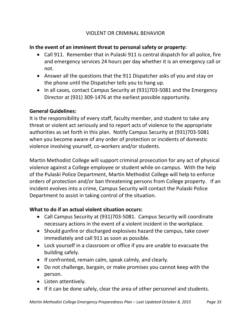## VIOLENT OR CRIMINAL BEHAVIOR

## **In the event of an imminent threat to personal safety or property:**

- Call 911. Remember that in Pulaski 911 is central dispatch for all police, fire and emergency services 24 hours per day whether it is an emergency call or not.
- Answer all the questions that the 911 Dispatcher asks of you and stay on the phone until the Dispatcher tells you to hang up.
- In all cases*,* contact Campus Security at (931)703-5081 and the Emergency Director at (931) 309-1476 at the earliest possible opportunity.

## **General Guidelines:**

It is the responsibility of every staff, faculty member, and student to take any threat or violent act seriously and to report acts of violence to the appropriate authorities as set forth in this plan. Notify Campus Security at (931)703-5081 when you become aware of any order of protection or incidents of domestic violence involving yourself, co-workers and/or students.

Martin Methodist College will support criminal prosecution for any act of physical violence against a College employee or student while on campus. With the help of the Pulaski Police Department, Martin Methodist College will help to enforce orders of protection and/or ban threatening persons from College property. If an incident evolves into a crime, Campus Security will contact the Pulaski Police Department to assist in taking control of the situation.

## **What to do if an actual violent situation occurs:**

- Call Campus Security at (931)703-5081. Campus Security will coordinate necessary actions in the event of a violent incident in the workplace.
- Should gunfire or discharged explosives hazard the campus, take cover immediately and call 911 as soon as possible.
- Lock yourself in a classroom or office if you are unable to evacuate the building safely.
- If confronted, remain calm, speak calmly, and clearly.
- Do not challenge, bargain, or make promises you cannot keep with the person.
- Listen attentively.
- If it can be done safely, clear the area of other personnel and students.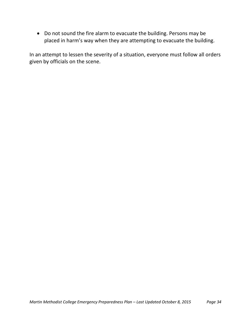Do not sound the fire alarm to evacuate the building. Persons may be placed in harm's way when they are attempting to evacuate the building.

In an attempt to lessen the severity of a situation, everyone must follow all orders given by officials on the scene.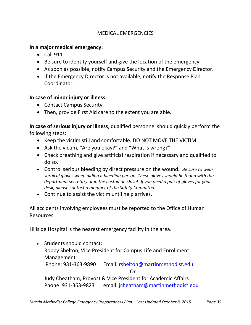## MEDICAL EMERGENCIES

## **In a major medical emergency:**

- Call 911.
- Be sure to identify yourself and give the location of the emergency.
- As soon as possible, notify Campus Security and the Emergency Director.
- If the Emergency Director is not available, notify the Response Plan Coordinator.

## **In case of minor injury or illness:**

- Contact Campus Security.
- Then, provide First Aid care to the extent you are able.

**In case of serious injury or illness**, qualified personnel should quickly perform the following steps:

- Keep the victim still and comfortable. DO NOT MOVE THE VICTIM.
- Ask the victim, "Are you okay?" and "What is wrong?"
- Check breathing and give artificial respiration if necessary and qualified to do so.
- Control serious bleeding by direct pressure on the wound. *Be sure to wear surgical gloves when aiding a bleeding person. These gloves should be found with the department secretary or in the custodian closet. If you need a pair of gloves for your desk, please contact a member of the Safety Committee.*
- Continue to assist the victim until help arrives.

All accidents involving employees must be reported to the Office of Human Resources.

Hillside Hospital is the nearest emergency facility in the area.

• Students should contact: Robby Shelton, Vice President for Campus Life and Enrollment Management Phone: 931-363-9890 Email: [rshelton@martinmethodist.edu](mailto:rshelton@martinmethodist.edu) Or Judy Cheatham, Provost & Vice President for Academic Affairs Phone: 931-363-9823 email: [jcheatham@martinmethodist.edu](mailto:jcheatham@martinmethodist.edu)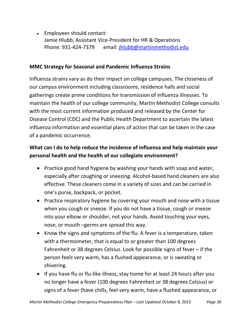Employees should contact: Jamie Hlubb, Assistant Vice-President for HR & Operations Phone: 931-424-7379 email: [jhlubb@martinmethodist.edu](mailto:jhlubb@martinmethodist.edu)

## **MMC Strategy for Seasonal and Pandemic Influenza Strains**

Influenza strains vary as do their impact on college campuses. The closeness of our campus environment including classrooms, residence halls and social gatherings create prime conditions for transmission of influenza illnesses. To maintain the health of our college community, Martin Methodist College consults with the most current information produced and released by the Center for Disease Control (CDC) and the Public Health Department to ascertain the latest influenza information and essential plans of action that can be taken in the case of a pandemic occurrence.

## **What can I do to help reduce the incidence of influenza and help maintain your personal health and the health of our collegiate environment?**

- Practice good hand hygiene by washing your hands with soap and water, especially after coughing or sneezing. Alcohol-based hand cleaners are also effective. These cleaners come in a variety of sizes and can be carried in one's purse, backpack, or pocket.
- Practice respiratory hygiene by covering your mouth and nose with a tissue when you cough or sneeze. If you do not have a tissue, cough or sneeze into your elbow or shoulder, not your hands. Avoid touching your eyes, nose, or mouth –germs are spread this way.
- Know the signs and symptoms of the flu. A fever is a temperature, taken with a thermometer, that is equal to or greater than 100 degrees Fahrenheit or 38 degrees Celsius. Look for possible signs of fever – if the person feels very warm, has a flushed appearance, or is sweating or shivering.
- If you have flu or flu-like illness, stay home for at least 24 hours after you no longer have a fever (100 degrees Fahrenheit or 38 degrees Celsius) or signs of a fever (have chills, feel very warm, have a flushed appearance, or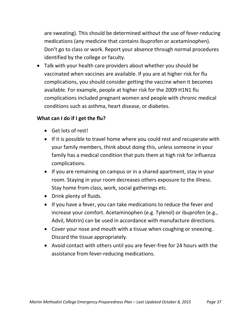are sweating). This should be determined without the use of fever-reducing medications (any medicine that contains ibuprofen or acetaminophen). Don't go to class or work. Report your absence through normal procedures identified by the college or faculty.

 Talk with your health care providers about whether you should be vaccinated when vaccines are available. If you are at higher risk for flu complications, you should consider getting the vaccine when it becomes available. For example, people at higher risk for the 2009 H1N1 flu complications included pregnant women and people with chronic medical conditions such as asthma, heart disease, or diabetes.

## **What can I do if I get the flu?**

- Get lots of rest!
- If it is possible to travel home where you could rest and recuperate with your family members, think about doing this, unless someone in your family has a medical condition that puts them at high risk for influenza complications.
- If you are remaining on campus or in a shared apartment, stay in your room. Staying in your room decreases others exposure to the illness. Stay home from class, work, social gatherings etc.
- Drink plenty of fluids.
- If you have a fever, you can take medications to reduce the fever and increase your comfort. Acetaminophen (e.g. Tylenol) or ibuprofen (e.g., Advil, Motrin) can be used in accordance with manufacture directions.
- Cover your nose and mouth with a tissue when coughing or sneezing. Discard the tissue appropriately.
- Avoid contact with others until you are fever-free for 24 hours with the assistance from fever-reducing medications.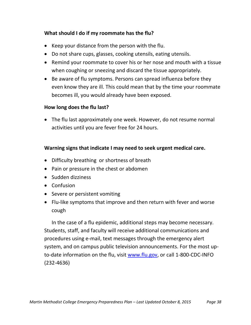## **What should I do if my roommate has the flu?**

- $\bullet$  Keep your distance from the person with the flu.
- Do not share cups, glasses, cooking utensils, eating utensils.
- Remind your roommate to cover his or her nose and mouth with a tissue when coughing or sneezing and discard the tissue appropriately.
- Be aware of flu symptoms. Persons can spread influenza before they even know they are ill. This could mean that by the time your roommate becomes ill, you would already have been exposed.

## **How long does the flu last?**

 The flu last approximately one week. However, do not resume normal activities until you are fever free for 24 hours.

## **Warning signs that indicate I may need to seek urgent medical care.**

- Difficulty breathing or shortness of breath
- Pain or pressure in the chest or abdomen
- Sudden dizziness
- Confusion
- Severe or persistent vomiting
- Flu-like symptoms that improve and then return with fever and worse cough

In the case of a flu epidemic, additional steps may become necessary. Students, staff, and faculty will receive additional communications and procedures using e-mail, text messages through the emergency alert system, and on campus public television announcements. For the most upto-date information on the flu, visit [www.flu.gov,](http://www.flu.gov/) or call 1-800-CDC-INFO (232-4636)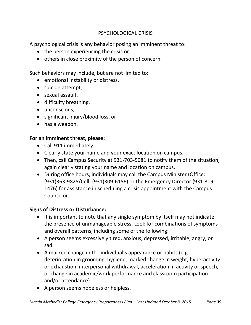## PSYCHOLOGICAL CRISIS

A psychological crisis is any behavior posing an imminent threat to:

- the person experiencing the crisis or
- others in close proximity of the person of concern.

Such behaviors may include, but are not limited to:

- emotional instability or distress,
- suicide attempt,
- sexual assault,
- difficulty breathing,
- unconscious,
- significant injury/blood loss, or
- has a weapon.

## **For an imminent threat, please:**

- Call 911 immediately.
- Clearly state your name and your exact location on campus.
- Then, call Campus Security at 931-703-5081 to notify them of the situation, again clearly stating your name and location on campus.
- During office hours, individuals may call the Campus Minister (Office: (931)363-9825/Cell: (931)309-6156) or the Emergency Director (931-309- 1476) for assistance in scheduling a crisis appointment with the Campus Counselor.

## **Signs of Distress or Disturbance:**

- It is important to note that any single symptom by itself may not indicate the presence of unmanageable stress. Look for combinations of symptoms and overall patterns, including some of the following:
- A person seems excessively tired, anxious, depressed, irritable, angry, or sad.
- A marked change in the individual's appearance or habits (e.g. deterioration in grooming, hygiene, marked change in weight, hyperactivity or exhaustion, interpersonal withdrawal, acceleration in activity or speech, or change in academic/work performance and classroom participation and/or attendance).
- A person seems hopeless or helpless.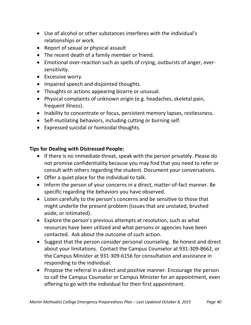- Use of alcohol or other substances interferes with the individual's relationships or work.
- Report of sexual or physical assault
- The recent death of a family member or friend.
- Emotional over-reaction such as spells of crying, outbursts of anger, oversensitivity.
- Excessive worry.
- Impaired speech and disjointed thoughts.
- Thoughts or actions appearing bizarre or unusual.
- Physical complaints of unknown origin (e.g. headaches, skeletal pain, frequent illness).
- Inability to concentrate or focus, persistent memory lapses, restlessness.
- Self-mutilating behaviors, including cutting or burning self.
- Expressed suicidal or homicidal thoughts.

## **Tips for Dealing with Distressed People:**

- If there is no immediate threat, speak with the person privately. Please do not promise confidentiality because you may find that you need to refer or consult with others regarding the student. Document your conversations.
- Offer a quiet place for the individual to talk.
- Inform the person of your concerns in a direct, matter-of-fact manner. Be specific regarding the behaviors you have observed.
- Listen carefully to the person's concerns and be sensitive to those that might underlie the present problem (issues that are unstated, brushed aside, or intimated).
- Explore the person's previous attempts at resolution, such as what resources have been utilized and what persons or agencies have been contacted. Ask about the outcome of such action.
- Suggest that the person consider personal counseling. Be honest and direct about your limitations. Contact the Campus Counselor at 931-309-8662, or the Campus Minister at 931-309-6156 for consultation and assistance in responding to the individual.
- Propose the referral in a direct and positive manner. Encourage the person to call the Campus Counselor or Campus Minister for an appointment, even offering to go with the individual for their first appointment.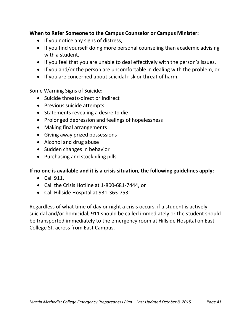## **When to Refer Someone to the Campus Counselor or Campus Minister:**

- If you notice any signs of distress,
- If you find yourself doing more personal counseling than academic advising with a student,
- If you feel that you are unable to deal effectively with the person's issues,
- If you and/or the person are uncomfortable in dealing with the problem, or
- If you are concerned about suicidal risk or threat of harm.

Some Warning Signs of Suicide:

- Suicide threats-direct or indirect
- Previous suicide attempts
- Statements revealing a desire to die
- Prolonged depression and feelings of hopelessness
- Making final arrangements
- Giving away prized possessions
- Alcohol and drug abuse
- Sudden changes in behavior
- Purchasing and stockpiling pills

## **If no one is available and it is a crisis situation, the following guidelines apply:**

- $\bullet$  Call 911,
- Call the Crisis Hotline at 1-800-681-7444, or
- Call Hillside Hospital at 931-363-7531.

Regardless of what time of day or night a crisis occurs, if a student is actively suicidal and/or homicidal, 911 should be called immediately or the student should be transported immediately to the emergency room at Hillside Hospital on East College St. across from East Campus.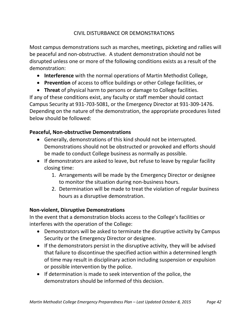## CIVIL DISTURBANCE OR DEMONSTRATIONS

Most campus demonstrations such as marches, meetings, picketing and rallies will be peaceful and non-obstructive. A student demonstration should not be disrupted unless one or more of the following conditions exists as a result of the demonstration:

- **Interference** with the normal operations of Martin Methodist College,
- **Prevention** of access to office buildings or other College facilities, or

 **Threat** of physical harm to persons or damage to College facilities. If any of these conditions exist, any faculty or staff member should contact Campus Security at 931-703-5081, or the Emergency Director at 931-309-1476. Depending on the nature of the demonstration, the appropriate procedures listed below should be followed:

## **Peaceful, Non-obstructive Demonstrations**

- Generally, demonstrations of this kind should not be interrupted. Demonstrations should not be obstructed or provoked and efforts should be made to conduct College business as normally as possible.
- If demonstrators are asked to leave, but refuse to leave by regular facility closing time:
	- 1. Arrangements will be made by the Emergency Director or designee to monitor the situation during non-business hours.
	- 2. Determination will be made to treat the violation of regular business hours as a disruptive demonstration.

## **Non-violent, Disruptive Demonstrations**

In the event that a demonstration blocks access to the College's facilities or interferes with the operation of the College:

- Demonstrators will be asked to terminate the disruptive activity by Campus Security or the Emergency Director or designee.
- If the demonstrators persist in the disruptive activity, they will be advised that failure to discontinue the specified action within a determined length of time may result in disciplinary action including suspension or expulsion or possible intervention by the police.
- If determination is made to seek intervention of the police, the demonstrators should be informed of this decision.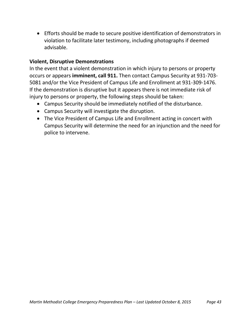Efforts should be made to secure positive identification of demonstrators in violation to facilitate later testimony, including photographs if deemed advisable.

## **Violent, Disruptive Demonstrations**

In the event that a violent demonstration in which injury to persons or property occurs or appears **imminent, call 911.** Then contact Campus Security at 931-703- 5081 and/or the Vice President of Campus Life and Enrollment at 931-309-1476. If the demonstration is disruptive but it appears there is not immediate risk of injury to persons or property, the following steps should be taken:

- Campus Security should be immediately notified of the disturbance.
- Campus Security will investigate the disruption.
- The Vice President of Campus Life and Enrollment acting in concert with Campus Security will determine the need for an injunction and the need for police to intervene.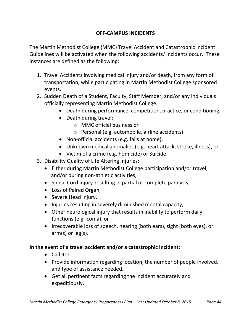## **OFF-CAMPUS INCIDENTS**

The Martin Methodist College (MMC) Travel Accident and Catastrophic Incident Guidelines will be activated when the following accidents/ incidents occur. These instances are defined as the following:

- 1. Travel Accidents involving medical injury and/or death, from any form of transportation, while participating in Martin Methodist College sponsored events.
- 2. Sudden Death of a Student, Faculty, Staff Member, and/or any individuals officially representing Martin Methodist College.
	- Death during performance, competition, practice, or conditioning,
	- Death during travel:
		- o MMC official business or
		- o Personal (e.g. automobile, airline accidents).
	- Non-official accidents (e.g. falls at home),
	- Unknown medical anomalies (e.g. heart attack, stroke, illness), or
	- Victim of a crime (e.g. homicide) or Suicide.
- 3. Disability Quality of Life Altering Injuries:
	- Either during Martin Methodist College participation and/or travel, and/or during non-athletic activities,
	- Spinal Cord Injury-resulting in partial or complete paralysis,
	- Loss of Paired Organ,
	- Severe Head Injury,
	- Injuries resulting in severely diminished mental capacity,
	- Other neurological injury that results in inability to perform daily functions (e.g.-coma), or
	- Irrecoverable loss of speech, hearing (both ears), sight (both eyes), or arm(s) or leg(s).

## **In the event of a travel accident and/or a catastrophic incident:**

- $\bullet$  Call 911.
- Provide information regarding location, the number of people involved, and type of assistance needed.
- Get all pertinent facts regarding the incident accurately and expeditiously,